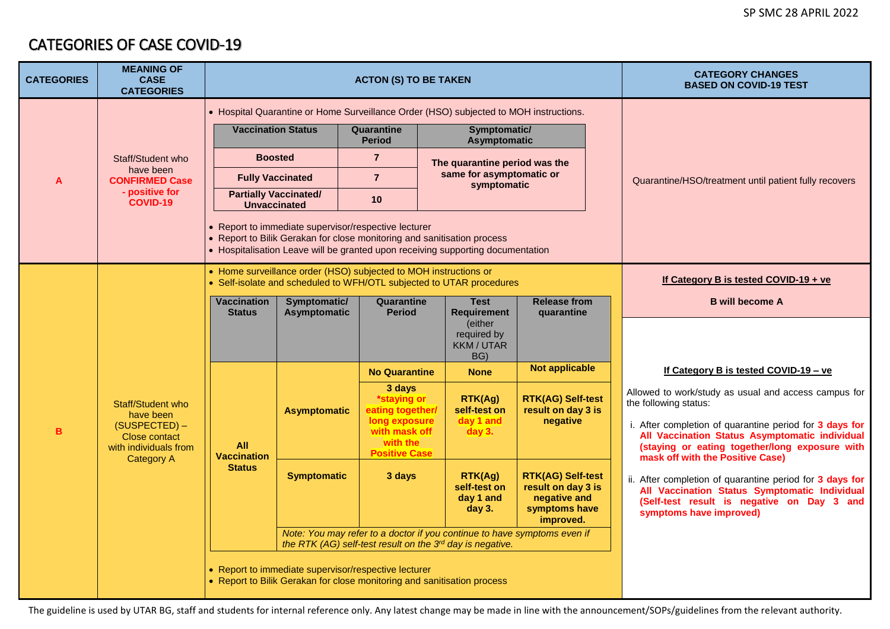## CATEGORIES OF CASE COVID-19

| <b>CATEGORIES</b> | <b>MEANING OF</b><br><b>CASE</b><br><b>CATEGORIES</b>                                                                 | <b>ACTON (S) TO BE TAKEN</b>                                                                                                                                                                                       |                                                                                                                                       |                                                                                                                 |                                                  | <b>CATEGORY CHANGES</b><br><b>BASED ON COVID-19 TEST</b>                                     |  |                                                                                                                                                                                                                                                                                                                                                                                                                                                                        |
|-------------------|-----------------------------------------------------------------------------------------------------------------------|--------------------------------------------------------------------------------------------------------------------------------------------------------------------------------------------------------------------|---------------------------------------------------------------------------------------------------------------------------------------|-----------------------------------------------------------------------------------------------------------------|--------------------------------------------------|----------------------------------------------------------------------------------------------|--|------------------------------------------------------------------------------------------------------------------------------------------------------------------------------------------------------------------------------------------------------------------------------------------------------------------------------------------------------------------------------------------------------------------------------------------------------------------------|
|                   | Staff/Student who<br>have been<br><b>CONFIRMED Case</b><br>- positive for<br><b>COVID-19</b>                          | • Hospital Quarantine or Home Surveillance Order (HSO) subjected to MOH instructions.                                                                                                                              |                                                                                                                                       |                                                                                                                 |                                                  |                                                                                              |  |                                                                                                                                                                                                                                                                                                                                                                                                                                                                        |
| A                 |                                                                                                                       |                                                                                                                                                                                                                    | <b>Vaccination Status</b><br>Quarantine                                                                                               |                                                                                                                 | Symptomatic/<br><b>Asymptomatic</b>              |                                                                                              |  |                                                                                                                                                                                                                                                                                                                                                                                                                                                                        |
|                   |                                                                                                                       | <b>Boosted</b>                                                                                                                                                                                                     |                                                                                                                                       | $\overline{7}$                                                                                                  | The quarantine period was the                    |                                                                                              |  |                                                                                                                                                                                                                                                                                                                                                                                                                                                                        |
|                   |                                                                                                                       | <b>Fully Vaccinated</b>                                                                                                                                                                                            |                                                                                                                                       | $\overline{7}$                                                                                                  | same for asymptomatic or<br>symptomatic          |                                                                                              |  | Quarantine/HSO/treatment until patient fully recovers                                                                                                                                                                                                                                                                                                                                                                                                                  |
|                   |                                                                                                                       |                                                                                                                                                                                                                    | <b>Partially Vaccinated/</b><br><b>Unvaccinated</b>                                                                                   |                                                                                                                 |                                                  |                                                                                              |  |                                                                                                                                                                                                                                                                                                                                                                                                                                                                        |
|                   |                                                                                                                       | • Report to immediate supervisor/respective lecturer<br>• Report to Bilik Gerakan for close monitoring and sanitisation process<br>• Hospitalisation Leave will be granted upon receiving supporting documentation |                                                                                                                                       |                                                                                                                 |                                                  |                                                                                              |  |                                                                                                                                                                                                                                                                                                                                                                                                                                                                        |
|                   |                                                                                                                       | • Home surveillance order (HSO) subjected to MOH instructions or<br>• Self-isolate and scheduled to WFH/OTL subjected to UTAR procedures                                                                           |                                                                                                                                       |                                                                                                                 |                                                  | If Category B is tested COVID-19 + ve                                                        |  |                                                                                                                                                                                                                                                                                                                                                                                                                                                                        |
|                   |                                                                                                                       | <b>Vaccination</b><br><b>Status</b>                                                                                                                                                                                | Symptomatic/<br>Asymptomatic                                                                                                          | Quarantine<br><b>Period</b>                                                                                     | <b>Test</b><br><b>Requirement</b>                | <b>Release from</b><br>quarantine                                                            |  | <b>B</b> will become A                                                                                                                                                                                                                                                                                                                                                                                                                                                 |
|                   |                                                                                                                       |                                                                                                                                                                                                                    |                                                                                                                                       |                                                                                                                 | (either<br>required by<br>KKM / UTAR<br>BG)      |                                                                                              |  |                                                                                                                                                                                                                                                                                                                                                                                                                                                                        |
|                   |                                                                                                                       |                                                                                                                                                                                                                    |                                                                                                                                       | <b>No Quarantine</b>                                                                                            | <b>None</b>                                      | <b>Not applicable</b>                                                                        |  | If Category B is tested COVID-19 - ve                                                                                                                                                                                                                                                                                                                                                                                                                                  |
| B                 | Staff/Student who<br>have been<br>(SUSPECTED) -<br><b>Close contact</b><br>with individuals from<br><b>Category A</b> | <b>All</b><br><b>Vaccination</b><br><b>Status</b>                                                                                                                                                                  | <b>Asymptomatic</b>                                                                                                                   | 3 days<br>*staying or<br>eating together/<br>long exposure<br>with mask off<br>with the<br><b>Positive Case</b> | RTK(Ag)<br>self-test on<br>day 1 and<br>$day3$ . | <b>RTK(AG) Self-test</b><br>result on day 3 is<br>negative                                   |  | Allowed to work/study as usual and access campus for<br>the following status:<br>i. After completion of quarantine period for 3 days for<br>All Vaccination Status Asymptomatic individual<br>(staying or eating together/long exposure with<br>mask off with the Positive Case)<br>ii. After completion of quarantine period for 3 days for<br>All Vaccination Status Symptomatic Individual<br>(Self-test result is negative on Day 3 and<br>symptoms have improved) |
|                   |                                                                                                                       |                                                                                                                                                                                                                    | <b>Symptomatic</b>                                                                                                                    | 3 days                                                                                                          | RTK(Ag)<br>self-test on<br>day 1 and<br>day 3.   | <b>RTK(AG) Self-test</b><br>result on day 3 is<br>negative and<br>symptoms have<br>improved. |  |                                                                                                                                                                                                                                                                                                                                                                                                                                                                        |
|                   |                                                                                                                       |                                                                                                                                                                                                                    | Note: You may refer to a doctor if you continue to have symptoms even if<br>the RTK (AG) self-test result on the 3rd day is negative. |                                                                                                                 |                                                  |                                                                                              |  |                                                                                                                                                                                                                                                                                                                                                                                                                                                                        |
|                   |                                                                                                                       |                                                                                                                                                                                                                    | • Report to immediate supervisor/respective lecturer<br>• Report to Bilik Gerakan for close monitoring and sanitisation process       |                                                                                                                 |                                                  |                                                                                              |  |                                                                                                                                                                                                                                                                                                                                                                                                                                                                        |

The guideline is used by UTAR BG, staff and students for internal reference only. Any latest change may be made in line with the announcement/SOPs/guidelines from the relevant authority.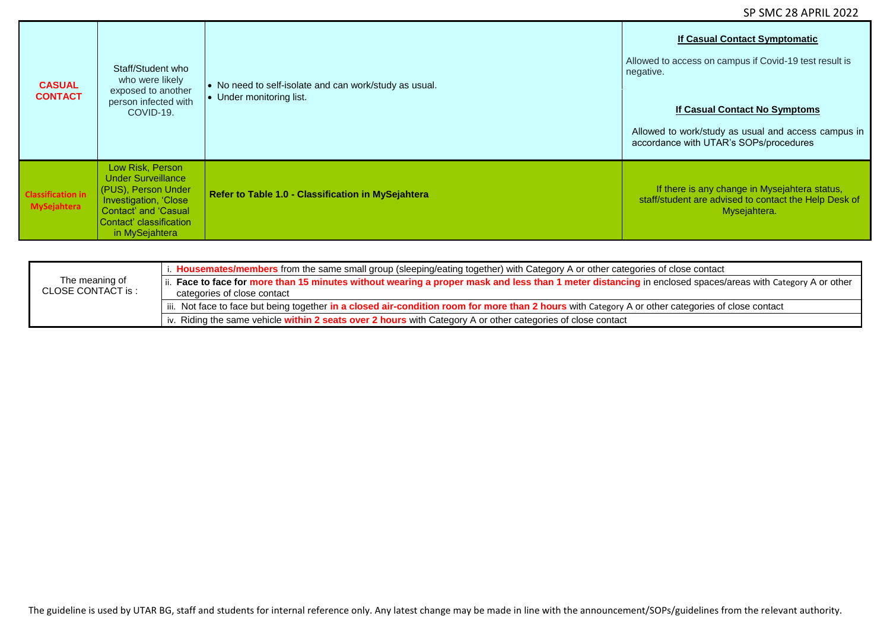| <b>CASUAL</b><br><b>CONTACT</b>                | Staff/Student who<br>who were likely<br>exposed to another<br>person infected with<br>COVID-19.                                                                           | • No need to self-isolate and can work/study as usual. | If Casual Contact Symptomatic<br>Allowed to access on campus if Covid-19 test result is<br>negative.                                  |
|------------------------------------------------|---------------------------------------------------------------------------------------------------------------------------------------------------------------------------|--------------------------------------------------------|---------------------------------------------------------------------------------------------------------------------------------------|
|                                                |                                                                                                                                                                           | • Under monitoring list.                               | <b>If Casual Contact No Symptoms</b><br>Allowed to work/study as usual and access campus in<br>accordance with UTAR's SOPs/procedures |
| <b>Classification in</b><br><b>MySejahtera</b> | Low Risk, Person<br><b>Under Surveillance</b><br>(PUS), Person Under<br>Investigation, 'Close<br><b>Contact' and 'Casual</b><br>Contact' classification<br>in MySejahtera | Refer to Table 1.0 - Classification in MySejahtera     | If there is any change in Mysejahtera status,<br>staff/student are advised to contact the Help Desk of<br>Mysejahtera.                |

|                                      | i. Housemates/members from the same small group (sleeping/eating together) with Category A or other categories of close contact                                                           |
|--------------------------------------|-------------------------------------------------------------------------------------------------------------------------------------------------------------------------------------------|
| The meaning of<br>CLOSE CONTACT is : | ii. Face to face for more than 15 minutes without wearing a proper mask and less than 1 meter distancing in enclosed spaces/areas with Category A or other<br>categories of close contact |
|                                      | iii. Not face to face but being together in a closed air-condition room for more than 2 hours with Category A or other categories of close contact                                        |
|                                      | iv. Riding the same vehicle within 2 seats over 2 hours with Category A or other categories of close contact                                                                              |